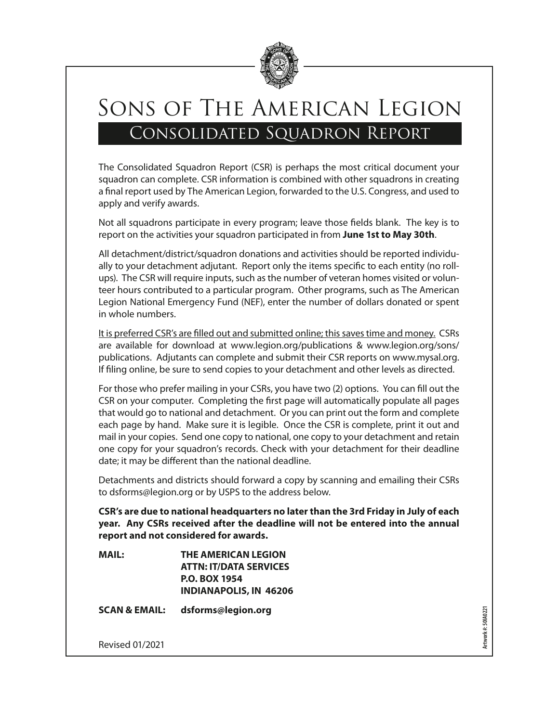

# Sons of The American Legion Consolidated Squadron Report

The Consolidated Squadron Report (CSR) is perhaps the most critical document your squadron can complete. CSR information is combined with other squadrons in creating a final report used by The American Legion, forwarded to the U.S. Congress, and used to apply and verify awards.

Not all squadrons participate in every program; leave those fields blank. The key is to report on the activities your squadron participated in from **June 1st to May 30th**.

All detachment/district/squadron donations and activities should be reported individually to your detachment adjutant. Report only the items specific to each entity (no rollups). The CSR will require inputs, such as the number of veteran homes visited or volunteer hours contributed to a particular program. Other programs, such as The American Legion National Emergency Fund (NEF), enter the number of dollars donated or spent in whole numbers.

It is preferred CSR's are filled out and submitted online; this saves time and money. CSRs are available for download at www.legion.org/publications & www.legion.org/sons/ publications. Adjutants can complete and submit their CSR reports on www.mysal.org. If filing online, be sure to send copies to your detachment and other levels as directed.

For those who prefer mailing in your CSRs, you have two (2) options. You can fill out the CSR on your computer. Completing the first page will automatically populate all pages that would go to national and detachment. Or you can print out the form and complete each page by hand. Make sure it is legible. Once the CSR is complete, print it out and mail in your copies. Send one copy to national, one copy to your detachment and retain one copy for your squadron's records. Check with your detachment for their deadline date; it may be different than the national deadline.

Detachments and districts should forward a copy by scanning and emailing their CSRs to dsforms@legion.org or by USPS to the address below.

**CSR's are due to national headquarters no later than the 3rd Friday in July of each year. Any CSRs received after the deadline will not be entered into the annual report and not considered for awards.**

**MAIL: THE AMERICAN LEGION ATTN: IT/DATA SERVICES P.O. BOX 1954 INDIANAPOLIS, IN 46206**

**SCAN & EMAIL: dsforms@legion.org**

**Artwork #: 50IA0221**Artwork #: 501A0221

Revised 01/2021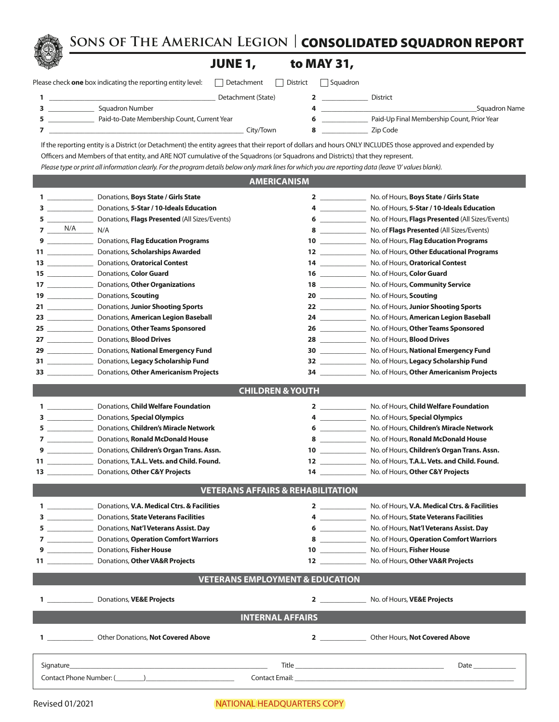**Sons of The American Legion |** CONSOLIDATED SQUADRON REPORT

## JUNE 1,

| to MAY 31, |  |
|------------|--|
|------------|--|

|  |  | lease check <b>one</b> box indicating the reporting entity leve |  |
|--|--|-----------------------------------------------------------------|--|
|  |  |                                                                 |  |

| Please check <b>one</b> box indicating the reporting entity level: | Detachment<br>$\blacksquare$ | <b>District</b> | Squadron |                                            |
|--------------------------------------------------------------------|------------------------------|-----------------|----------|--------------------------------------------|
|                                                                    | Detachment (State)           |                 | District |                                            |
| Squadron Number                                                    |                              |                 |          | Squadron Name                              |
| Paid-to-Date Membership Count, Current Year                        |                              |                 |          | Paid-Up Final Membership Count, Prior Year |

\_\_\_\_\_\_\_\_\_\_\_\_\_\_\_\_\_\_\_\_\_\_\_\_\_\_\_\_\_\_\_\_\_\_\_\_\_\_\_\_\_\_\_\_\_\_\_\_\_\_\_\_\_\_\_ City/Town **8** \_\_\_\_\_\_\_\_\_\_\_\_\_ Zip Code

If the reporting entity is a District (or Detachment) the entity agrees that their report of dollars and hours ONLY INCLUDES those approved and expended by Officers and Members of that entity, and ARE NOT cumulative of the Squadrons (or Squadrons and Districts) that they represent.

*Please type or print all information clearly. For the program details below only mark lines for which you are reporting data (leave '0' values blank).*

### **AMERICANISM**

|                                  | 1 ________________________ Donations, Boys State / Girls State                                                                                                                                                                |                                                                                                                                                                                                                                                                                                                                                    | No. of Hours, Boys State / Girls State                                                                          |  |  |  |
|----------------------------------|-------------------------------------------------------------------------------------------------------------------------------------------------------------------------------------------------------------------------------|----------------------------------------------------------------------------------------------------------------------------------------------------------------------------------------------------------------------------------------------------------------------------------------------------------------------------------------------------|-----------------------------------------------------------------------------------------------------------------|--|--|--|
|                                  | 3 Donations, 5-Star / 10-Ideals Education                                                                                                                                                                                     |                                                                                                                                                                                                                                                                                                                                                    | No. of Hours, 5-Star / 10-Ideals Education                                                                      |  |  |  |
|                                  | 5 ___________________ Donations, Flags Presented (All Sizes/Events)                                                                                                                                                           | $\bullet$ $\qquad \qquad$ $\qquad \qquad$ $\qquad$ $\qquad$ $\qquad$ $\qquad$ $\qquad$ $\qquad$ $\qquad$ $\qquad$ $\qquad$ $\qquad$ $\qquad$ $\qquad$ $\qquad$ $\qquad$ $\qquad$ $\qquad$ $\qquad$ $\qquad$ $\qquad$ $\qquad$ $\qquad$ $\qquad$ $\qquad$ $\qquad$ $\qquad$ $\qquad$ $\qquad$ $\qquad$ $\qquad$ $\qquad$ $\qquad$ $\qquad$ $\qquad$ | No. of Hours, Flags Presented (All Sizes/Events)                                                                |  |  |  |
| $7 \underline{\hspace{1cm}}$ N/A | N/A                                                                                                                                                                                                                           | $8 \overline{\phantom{a}}$                                                                                                                                                                                                                                                                                                                         | No. of Flags Presented (All Sizes/Events)                                                                       |  |  |  |
|                                  | 9 __________________ Donations, Flag Education Programs                                                                                                                                                                       | $\overline{\mathbf{10}}$ $\overline{\phantom{10}}$                                                                                                                                                                                                                                                                                                 | No. of Hours, Flag Education Programs                                                                           |  |  |  |
|                                  | 11 Donations, Scholarships Awarded                                                                                                                                                                                            | $12$ and $12$ and $12$ and $12$ and $12$ and $12$ and $12$ and $12$ and $12$ and $12$ and $12$ and $12$ and $12$ and $12$ and $12$ and $12$ and $12$ and $12$ and $12$ and $12$ and $12$ and $12$ and $12$ and $12$ and $12$                                                                                                                       | No. of Hours, Other Educational Programs                                                                        |  |  |  |
|                                  | 13 Donations, Oratorical Contest                                                                                                                                                                                              | $14$ and $\sim$ 14                                                                                                                                                                                                                                                                                                                                 | No. of Hours, Oratorical Contest                                                                                |  |  |  |
|                                  |                                                                                                                                                                                                                               | $16$ and $\sim$ and $\sim$ and $\sim$ and $\sim$                                                                                                                                                                                                                                                                                                   | No. of Hours, Color Guard                                                                                       |  |  |  |
|                                  | 17 ________________________ Donations, Other Organizations                                                                                                                                                                    | $18$ and $\sim$ and $\sim$ and $\sim$ $\sim$ $\sim$ $\sim$                                                                                                                                                                                                                                                                                         | No. of Hours, Community Service                                                                                 |  |  |  |
|                                  | 19 ___________________ Donations, Scouting                                                                                                                                                                                    |                                                                                                                                                                                                                                                                                                                                                    | 20 No. of Hours, Scouting                                                                                       |  |  |  |
|                                  | 21 Donations, Junior Shooting Sports                                                                                                                                                                                          |                                                                                                                                                                                                                                                                                                                                                    | 22 No. of Hours, Junior Shooting Sports                                                                         |  |  |  |
|                                  | 23 Donations, American Legion Baseball                                                                                                                                                                                        |                                                                                                                                                                                                                                                                                                                                                    | 24 No. of Hours, American Legion Baseball                                                                       |  |  |  |
|                                  | 25 ___________________ Donations, Other Teams Sponsored                                                                                                                                                                       |                                                                                                                                                                                                                                                                                                                                                    | 26 ________________ No. of Hours, Other Teams Sponsored                                                         |  |  |  |
|                                  | 27 ________________________ Donations, Blood Drives                                                                                                                                                                           |                                                                                                                                                                                                                                                                                                                                                    | 28 No. of Hours, Blood Drives                                                                                   |  |  |  |
|                                  | 29 Donations, National Emergency Fund                                                                                                                                                                                         |                                                                                                                                                                                                                                                                                                                                                    | 30 No. of Hours, National Emergency Fund                                                                        |  |  |  |
|                                  | <b>31</b> Donations, Legacy Scholarship Fund                                                                                                                                                                                  |                                                                                                                                                                                                                                                                                                                                                    | 32 _______________ No. of Hours, Legacy Scholarship Fund                                                        |  |  |  |
|                                  | 33 __________________ Donations, Other Americanism Projects                                                                                                                                                                   |                                                                                                                                                                                                                                                                                                                                                    | 34 ________________ No. of Hours, Other Americanism Projects                                                    |  |  |  |
|                                  |                                                                                                                                                                                                                               |                                                                                                                                                                                                                                                                                                                                                    |                                                                                                                 |  |  |  |
|                                  |                                                                                                                                                                                                                               | <b>CHILDREN &amp; YOUTH</b>                                                                                                                                                                                                                                                                                                                        |                                                                                                                 |  |  |  |
|                                  | 1 Donations, Child Welfare Foundation                                                                                                                                                                                         |                                                                                                                                                                                                                                                                                                                                                    | 2 No. of Hours, Child Welfare Foundation                                                                        |  |  |  |
|                                  | 3 _____________________ Donations, Special Olympics                                                                                                                                                                           |                                                                                                                                                                                                                                                                                                                                                    | 4 _______________ No. of Hours, Special Olympics                                                                |  |  |  |
|                                  | 5 Donations, Children's Miracle Network                                                                                                                                                                                       |                                                                                                                                                                                                                                                                                                                                                    | 6 No. of Hours, Children's Miracle Network                                                                      |  |  |  |
|                                  | 7 Donations, Ronald McDonald House                                                                                                                                                                                            |                                                                                                                                                                                                                                                                                                                                                    | 8 No. of Hours, Ronald McDonald House                                                                           |  |  |  |
|                                  | 9 Donations, Children's Organ Trans. Assn.                                                                                                                                                                                    |                                                                                                                                                                                                                                                                                                                                                    | 10 No. of Hours, Children's Organ Trans. Assn.                                                                  |  |  |  |
|                                  | 11 Donations, T.A.L. Vets. and Child. Found.                                                                                                                                                                                  |                                                                                                                                                                                                                                                                                                                                                    | 12 No. of Hours, T.A.L. Vets. and Child. Found.                                                                 |  |  |  |
|                                  |                                                                                                                                                                                                                               |                                                                                                                                                                                                                                                                                                                                                    | 14 No. of Hours, Other C&Y Projects                                                                             |  |  |  |
|                                  |                                                                                                                                                                                                                               |                                                                                                                                                                                                                                                                                                                                                    |                                                                                                                 |  |  |  |
|                                  |                                                                                                                                                                                                                               | <b>VETERANS AFFAIRS &amp; REHABILITATION</b>                                                                                                                                                                                                                                                                                                       |                                                                                                                 |  |  |  |
|                                  | 1 ____________________ Donations, V.A. Medical Ctrs. & Facilities                                                                                                                                                             |                                                                                                                                                                                                                                                                                                                                                    | 2 No. of Hours, V.A. Medical Ctrs. & Facilities                                                                 |  |  |  |
|                                  | 3 Donations, State Veterans Facilities                                                                                                                                                                                        |                                                                                                                                                                                                                                                                                                                                                    | 4 _______________ No. of Hours, State Veterans Facilities                                                       |  |  |  |
|                                  | 5 _________________ Donations, Nat'l Veterans Assist. Day                                                                                                                                                                     |                                                                                                                                                                                                                                                                                                                                                    | 6 _________________ No. of Hours, Nat'l Veterans Assist. Day                                                    |  |  |  |
|                                  | 7 ________________ Donations, Operation Comfort Warriors                                                                                                                                                                      |                                                                                                                                                                                                                                                                                                                                                    | 8 No. of Hours, Operation Comfort Warriors                                                                      |  |  |  |
|                                  | 9 Donations, Fisher House                                                                                                                                                                                                     |                                                                                                                                                                                                                                                                                                                                                    | 10 ________________ No. of Hours, Fisher House                                                                  |  |  |  |
|                                  | 11 Donations, Other VA&R Projects                                                                                                                                                                                             |                                                                                                                                                                                                                                                                                                                                                    | 12 ________________ No. of Hours, Other VA&R Projects                                                           |  |  |  |
|                                  |                                                                                                                                                                                                                               | <b>VETERANS EMPLOYMENT &amp; EDUCATION</b>                                                                                                                                                                                                                                                                                                         |                                                                                                                 |  |  |  |
|                                  |                                                                                                                                                                                                                               |                                                                                                                                                                                                                                                                                                                                                    |                                                                                                                 |  |  |  |
|                                  | Donations, VE&E Projects                                                                                                                                                                                                      |                                                                                                                                                                                                                                                                                                                                                    | No. of Hours, <b>VE&amp;E Projects</b>                                                                          |  |  |  |
|                                  |                                                                                                                                                                                                                               | <b>INTERNAL AFFAIRS</b>                                                                                                                                                                                                                                                                                                                            |                                                                                                                 |  |  |  |
|                                  |                                                                                                                                                                                                                               |                                                                                                                                                                                                                                                                                                                                                    |                                                                                                                 |  |  |  |
|                                  | 1 Other Donations, Not Covered Above                                                                                                                                                                                          |                                                                                                                                                                                                                                                                                                                                                    | 2 Other Hours, Not Covered Above                                                                                |  |  |  |
|                                  |                                                                                                                                                                                                                               |                                                                                                                                                                                                                                                                                                                                                    |                                                                                                                 |  |  |  |
|                                  | Signature and the state of the state of the state of the state of the state of the state of the state of the state of the state of the state of the state of the state of the state of the state of the state of the state of |                                                                                                                                                                                                                                                                                                                                                    | Date and the set of the set of the set of the set of the set of the set of the set of the set of the set of the |  |  |  |
|                                  | Contact Phone Number: ( )                                                                                                                                                                                                     |                                                                                                                                                                                                                                                                                                                                                    |                                                                                                                 |  |  |  |
|                                  |                                                                                                                                                                                                                               |                                                                                                                                                                                                                                                                                                                                                    |                                                                                                                 |  |  |  |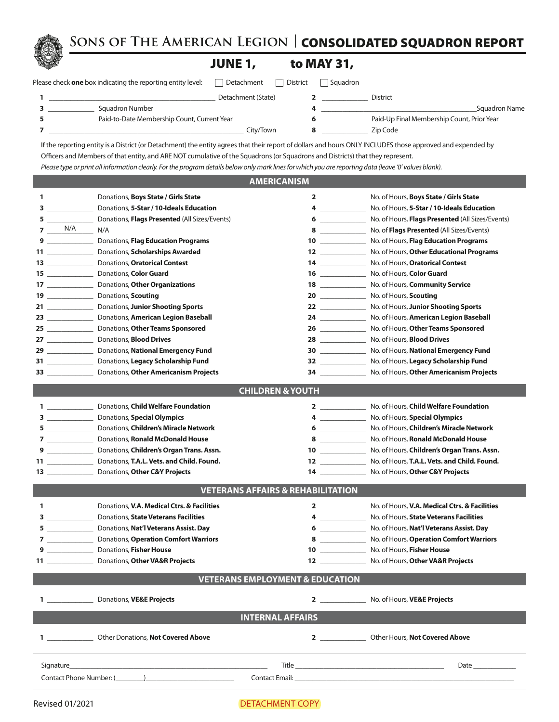**Sons of The American Legion |** CONSOLIDATED SQUADRON REPORT



# **JUNE 1**

|  | to MAY 31, |  |
|--|------------|--|
|--|------------|--|

| Please check one box indicating the reporting entity level: | Detachment District Squadron |  |  |
|-------------------------------------------------------------|------------------------------|--|--|
|-------------------------------------------------------------|------------------------------|--|--|

| , , , , , , ,                                     | www.com |  |
|---------------------------------------------------|---------|--|
| $\Box$ Detachment $\Box$ Dictrict $\Box$ Causdron |         |  |

| Detachment (State)                          | District                                   |
|---------------------------------------------|--------------------------------------------|
| Squadron Number                             | Squadron Name                              |
| Paid-to-Date Membership Count, Current Year | Paid-Up Final Membership Count, Prior Year |
| Citv/Town                                   | Zip Code                                   |

If the reporting entity is a District (or Detachment) the entity agrees that their report of dollars and hours ONLY INCLUDES those approved and expended by Officers and Members of that entity, and ARE NOT cumulative of the Squadrons (or Squadrons and Districts) that they represent. *Please type or print all information clearly. For the program details below only mark lines for which you are reporting data (leave '0' values blank).*

#### **AMERICANISM**

| $1 \qquad \qquad$                | Donations, Boys State / Girls State                                                                             | 2 $\overline{\phantom{a}}$                                                                                                                                                                                                                                                                                                         | No. of Hours, Boys State / Girls State                      |
|----------------------------------|-----------------------------------------------------------------------------------------------------------------|------------------------------------------------------------------------------------------------------------------------------------------------------------------------------------------------------------------------------------------------------------------------------------------------------------------------------------|-------------------------------------------------------------|
|                                  | Donations, 5-Star / 10-Ideals Education                                                                         | $\overline{4}$ and $\overline{4}$ and $\overline{4}$ and $\overline{4}$ and $\overline{4}$ and $\overline{4}$ and $\overline{4}$ and $\overline{4}$ and $\overline{4}$ and $\overline{4}$ and $\overline{4}$ and $\overline{4}$ and $\overline{4}$ and $\overline{4}$ and $\overline{4}$ and $\overline{4}$ and $\overline{4}$ and | No. of Hours, 5-Star / 10-Ideals Education                  |
| 5                                | Donations, Flags Presented (All Sizes/Events)                                                                   | $6 \hspace{0.1cm}$                                                                                                                                                                                                                                                                                                                 | No. of Hours, Flags Presented (All Sizes/Events)            |
| $7 \underline{\hspace{1cm}} N/A$ | N/A<br>$\mathbb{R}$                                                                                             |                                                                                                                                                                                                                                                                                                                                    | No. of Flags Presented (All Sizes/Events)                   |
| $9 \overline{\hspace{1.5cm}}$    | Donations, Flag Education Programs                                                                              |                                                                                                                                                                                                                                                                                                                                    | No. of Hours, Flag Education Programs                       |
| 11 ___________                   | Donations, Scholarships Awarded                                                                                 |                                                                                                                                                                                                                                                                                                                                    | No. of Hours, Other Educational Programs                    |
|                                  | Donations, Oratorical Contest                                                                                   | $14$ and $\sim$                                                                                                                                                                                                                                                                                                                    | No. of Hours, Oratorical Contest                            |
|                                  | Donations, Color Guard                                                                                          |                                                                                                                                                                                                                                                                                                                                    | No. of Hours, Color Guard                                   |
|                                  | Donations, Other Organizations                                                                                  |                                                                                                                                                                                                                                                                                                                                    | No. of Hours, Community Service                             |
| $19 \overline{\qquad \qquad }$   | Donations, Scouting                                                                                             | 20                                                                                                                                                                                                                                                                                                                                 | No. of Hours, Scouting                                      |
|                                  | Donations, Junior Shooting Sports                                                                               | 22                                                                                                                                                                                                                                                                                                                                 | No. of Hours, Junior Shooting Sports                        |
|                                  | Donations, American Legion Baseball                                                                             |                                                                                                                                                                                                                                                                                                                                    | No. of Hours, American Legion Baseball                      |
| 25 _____________                 | Donations, Other Teams Sponsored                                                                                |                                                                                                                                                                                                                                                                                                                                    | No. of Hours, Other Teams Sponsored                         |
|                                  | 27 ____________________ Donations, Blood Drives                                                                 | 28                                                                                                                                                                                                                                                                                                                                 | No. of Hours, <b>Blood Drives</b>                           |
|                                  | 29 ___________________ Donations, National Emergency Fund                                                       |                                                                                                                                                                                                                                                                                                                                    | No. of Hours, National Emergency Fund                       |
|                                  | 31 ______________________ Donations, Legacy Scholarship Fund                                                    | $\begin{array}{c c} \n32 & \phantom{244} \end{array}$                                                                                                                                                                                                                                                                              | No. of Hours, Legacy Scholarship Fund                       |
|                                  | 33 Donations, Other Americanism Projects                                                                        | $34$ and $\sim$ and $\sim$ and $\sim$                                                                                                                                                                                                                                                                                              | No. of Hours, Other Americanism Projects                    |
|                                  |                                                                                                                 |                                                                                                                                                                                                                                                                                                                                    |                                                             |
|                                  |                                                                                                                 | <b>CHILDREN &amp; YOUTH</b>                                                                                                                                                                                                                                                                                                        |                                                             |
|                                  | 1 __________________ Donations, Child Welfare Foundation                                                        |                                                                                                                                                                                                                                                                                                                                    | 2 No. of Hours, Child Welfare Foundation                    |
|                                  | 3 ________________________ Donations, Special Olympics                                                          |                                                                                                                                                                                                                                                                                                                                    | 4 No. of Hours, Special Olympics                            |
|                                  | 5 _________________ Donations, Children's Miracle Network                                                       |                                                                                                                                                                                                                                                                                                                                    | 6 ________________ No. of Hours, Children's Miracle Network |
|                                  | 7 Donations, Ronald McDonald House                                                                              |                                                                                                                                                                                                                                                                                                                                    | 8 ________________ No. of Hours, Ronald McDonald House      |
|                                  | 9 ____________________ Donations, Children's Organ Trans. Assn.                                                 | 10                                                                                                                                                                                                                                                                                                                                 | No. of Hours, Children's Organ Trans. Assn.                 |
|                                  | 11 Donations, T.A.L. Vets. and Child. Found.                                                                    | $12 \quad \qquad \qquad$                                                                                                                                                                                                                                                                                                           | No. of Hours, T.A.L. Vets. and Child. Found.                |
|                                  |                                                                                                                 |                                                                                                                                                                                                                                                                                                                                    | 14 No. of Hours, Other C&Y Projects                         |
|                                  |                                                                                                                 |                                                                                                                                                                                                                                                                                                                                    |                                                             |
|                                  |                                                                                                                 | <b>VETERANS AFFAIRS &amp; REHABILITATION</b>                                                                                                                                                                                                                                                                                       |                                                             |
|                                  | 1 Donations, V.A. Medical Ctrs. & Facilities                                                                    |                                                                                                                                                                                                                                                                                                                                    | 2 No. of Hours, V.A. Medical Ctrs. & Facilities             |
|                                  | 3 _____________________ Donations, State Veterans Facilities                                                    | $4\,$ $\,$                                                                                                                                                                                                                                                                                                                         | No. of Hours, State Veterans Facilities                     |
|                                  | 5 __________________ Donations, Nat'l Veterans Assist. Day                                                      | $6 \qquad \qquad$                                                                                                                                                                                                                                                                                                                  | No. of Hours, Nat'l Veterans Assist. Day                    |
|                                  | 7 ____________________ Donations, Operation Comfort Warriors                                                    | $8 \overline{ }$                                                                                                                                                                                                                                                                                                                   | No. of Hours, Operation Comfort Warriors                    |
|                                  | 9 Donations, Fisher House                                                                                       |                                                                                                                                                                                                                                                                                                                                    | No. of Hours, Fisher House                                  |
|                                  | 11 Donations, Other VA&R Projects                                                                               | $12$ and $12$ and $12$ and $12$ and $12$ and $12$ and $12$ and $12$ and $12$ and $12$ and $12$ and $12$ and $12$ and $12$ and $12$ and $12$ and $12$ and $12$ and $12$ and $12$ and $12$ and $12$ and $12$ and $12$ and $12$                                                                                                       | No. of Hours, Other VA&R Projects                           |
|                                  |                                                                                                                 | <b>VETERANS EMPLOYMENT &amp; EDUCATION</b>                                                                                                                                                                                                                                                                                         |                                                             |
|                                  |                                                                                                                 |                                                                                                                                                                                                                                                                                                                                    |                                                             |
|                                  | Donations, VE&E Projects                                                                                        | 2                                                                                                                                                                                                                                                                                                                                  | No. of Hours, VE&E Projects                                 |
|                                  |                                                                                                                 | <b>INTERNAL AFFAIRS</b>                                                                                                                                                                                                                                                                                                            |                                                             |
|                                  |                                                                                                                 |                                                                                                                                                                                                                                                                                                                                    |                                                             |
|                                  | 1 Other Donations, Not Covered Above                                                                            |                                                                                                                                                                                                                                                                                                                                    | 2 Other Hours, Not Covered Above                            |
|                                  |                                                                                                                 |                                                                                                                                                                                                                                                                                                                                    |                                                             |
| Signature                        |                                                                                                                 |                                                                                                                                                                                                                                                                                                                                    |                                                             |
|                                  | Contact Phone Number: (Casset Alexander Alexander Alexander Alexander Alexander Alexander Alexander Alexander A |                                                                                                                                                                                                                                                                                                                                    |                                                             |
|                                  |                                                                                                                 |                                                                                                                                                                                                                                                                                                                                    |                                                             |